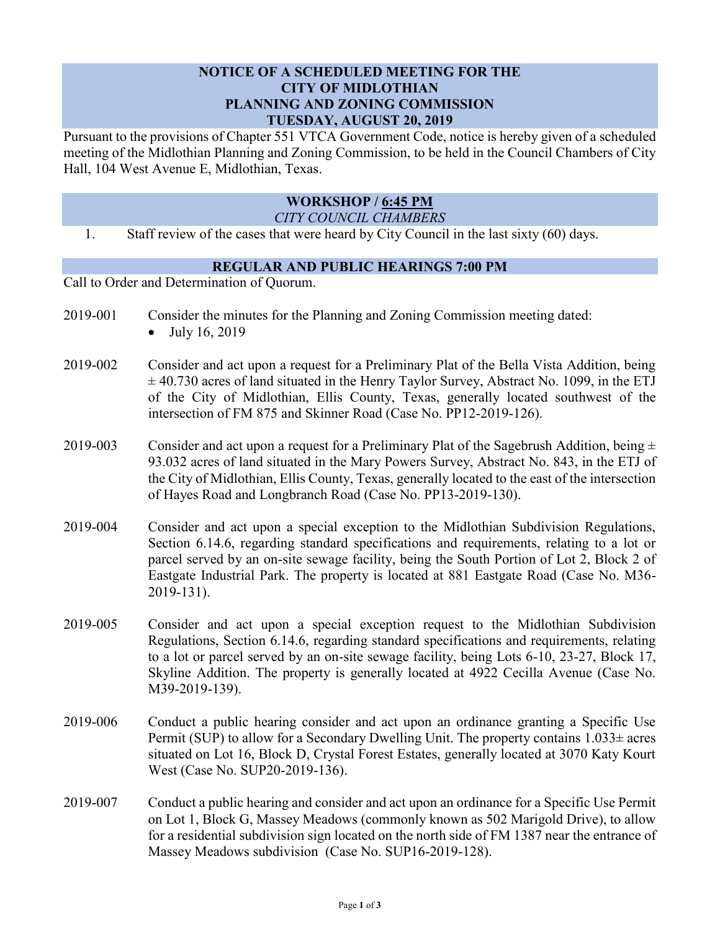## **NOTICE OF A SCHEDULED MEETING FOR THE CITY OF MIDLOTHIAN PLANNING AND ZONING COMMISSION TUESDAY, AUGUST 20, 2019**

Pursuant to the provisions of Chapter 551 VTCA Government Code, notice is hereby given of a scheduled meeting of the Midlothian Planning and Zoning Commission, to be held in the Council Chambers of City Hall, 104 West Avenue E, Midlothian, Texas.

## **WORKSHOP / 6:45 PM**

*CITY COUNCIL CHAMBERS*

1. Staff review of the cases that were heard by City Council in the last sixty (60) days.

## **REGULAR AND PUBLIC HEARINGS 7:00 PM**

Call to Order and Determination of Quorum.

- 2019-001 Consider the minutes for the Planning and Zoning Commission meeting dated:
	- July 16, 2019
- 2019-002 Consider and act upon a request for a Preliminary Plat of the Bella Vista Addition, being  $\pm$  40.730 acres of land situated in the Henry Taylor Survey, Abstract No. 1099, in the ETJ of the City of Midlothian, Ellis County, Texas, generally located southwest of the intersection of FM 875 and Skinner Road (Case No. PP12-2019-126).
- 2019-003 Consider and act upon a request for a Preliminary Plat of the Sagebrush Addition, being  $\pm$ 93.032 acres of land situated in the Mary Powers Survey, Abstract No. 843, in the ETJ of the City of Midlothian, Ellis County, Texas, generally located to the east of the intersection of Hayes Road and Longbranch Road (Case No. PP13-2019-130).
- 2019-004 Consider and act upon a special exception to the Midlothian Subdivision Regulations, Section 6.14.6, regarding standard specifications and requirements, relating to a lot or parcel served by an on-site sewage facility, being the South Portion of Lot 2, Block 2 of Eastgate Industrial Park. The property is located at 881 Eastgate Road (Case No. M36- 2019-131).
- 2019-005 Consider and act upon a special exception request to the Midlothian Subdivision Regulations, Section 6.14.6, regarding standard specifications and requirements, relating to a lot or parcel served by an on-site sewage facility, being Lots 6-10, 23-27, Block 17, Skyline Addition. The property is generally located at 4922 Cecilla Avenue (Case No. M39-2019-139).
- 2019-006 Conduct a public hearing consider and act upon an ordinance granting a Specific Use Permit (SUP) to allow for a Secondary Dwelling Unit. The property contains  $1.033\pm$  acres situated on Lot 16, Block D, Crystal Forest Estates, generally located at 3070 Katy Kourt West (Case No. SUP20-2019-136).
- 2019-007 Conduct a public hearing and consider and act upon an ordinance for a Specific Use Permit on Lot 1, Block G, Massey Meadows (commonly known as 502 Marigold Drive), to allow for a residential subdivision sign located on the north side of FM 1387 near the entrance of Massey Meadows subdivision (Case No. SUP16-2019-128).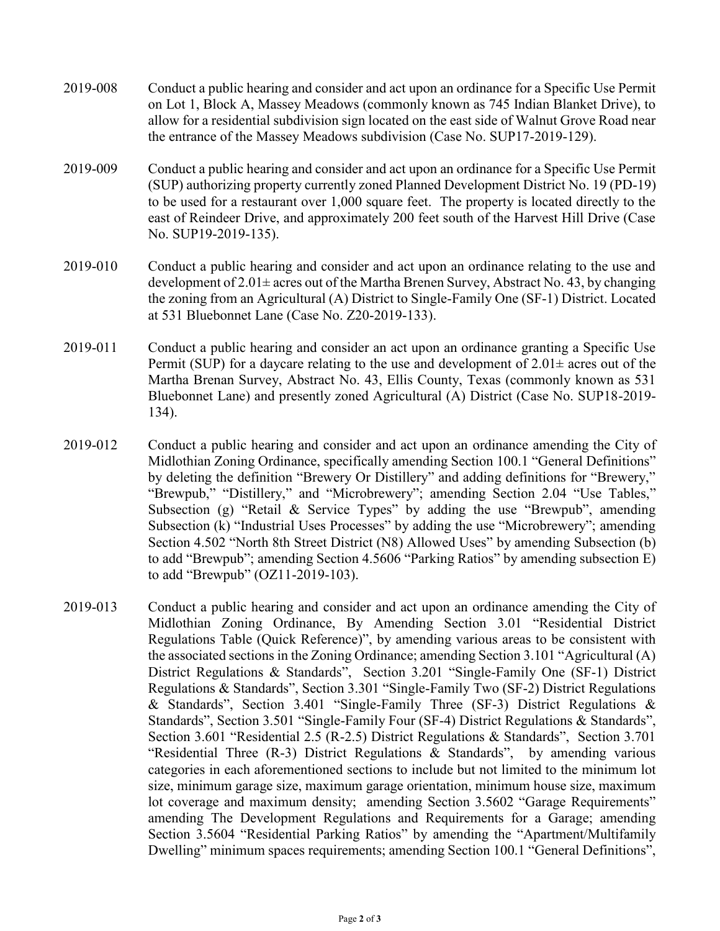- 2019-008 Conduct a public hearing and consider and act upon an ordinance for a Specific Use Permit on Lot 1, Block A, Massey Meadows (commonly known as 745 Indian Blanket Drive), to allow for a residential subdivision sign located on the east side of Walnut Grove Road near the entrance of the Massey Meadows subdivision (Case No. SUP17-2019-129).
- 2019-009 Conduct a public hearing and consider and act upon an ordinance for a Specific Use Permit (SUP) authorizing property currently zoned Planned Development District No. 19 (PD-19) to be used for a restaurant over 1,000 square feet. The property is located directly to the east of Reindeer Drive, and approximately 200 feet south of the Harvest Hill Drive (Case No. SUP19-2019-135).
- 2019-010 Conduct a public hearing and consider and act upon an ordinance relating to the use and development of  $2.01\pm$  acres out of the Martha Brenen Survey, Abstract No. 43, by changing the zoning from an Agricultural (A) District to Single-Family One (SF-1) District. Located at 531 Bluebonnet Lane (Case No. Z20-2019-133).
- 2019-011 Conduct a public hearing and consider an act upon an ordinance granting a Specific Use Permit (SUP) for a daycare relating to the use and development of  $2.01\pm$  acres out of the Martha Brenan Survey, Abstract No. 43, Ellis County, Texas (commonly known as 531 Bluebonnet Lane) and presently zoned Agricultural (A) District (Case No. SUP18-2019- 134).
- 2019-012 Conduct a public hearing and consider and act upon an ordinance amending the City of Midlothian Zoning Ordinance, specifically amending Section 100.1 "General Definitions" by deleting the definition "Brewery Or Distillery" and adding definitions for "Brewery," "Brewpub," "Distillery," and "Microbrewery"; amending Section 2.04 "Use Tables," Subsection (g) "Retail & Service Types" by adding the use "Brewpub", amending Subsection (k) "Industrial Uses Processes" by adding the use "Microbrewery"; amending Section 4.502 "North 8th Street District (N8) Allowed Uses" by amending Subsection (b) to add "Brewpub"; amending Section 4.5606 "Parking Ratios" by amending subsection E) to add "Brewpub" (OZ11-2019-103).
- 2019-013 Conduct a public hearing and consider and act upon an ordinance amending the City of Midlothian Zoning Ordinance, By Amending Section 3.01 "Residential District Regulations Table (Quick Reference)", by amending various areas to be consistent with the associated sections in the Zoning Ordinance; amending Section 3.101 "Agricultural (A) District Regulations & Standards", Section 3.201 "Single-Family One (SF-1) District Regulations & Standards", Section 3.301 "Single-Family Two (SF-2) District Regulations & Standards", Section 3.401 "Single-Family Three (SF-3) District Regulations & Standards", Section 3.501 "Single-Family Four (SF-4) District Regulations & Standards", Section 3.601 "Residential 2.5 (R-2.5) District Regulations & Standards", Section 3.701 "Residential Three (R-3) District Regulations & Standards", by amending various categories in each aforementioned sections to include but not limited to the minimum lot size, minimum garage size, maximum garage orientation, minimum house size, maximum lot coverage and maximum density; amending Section 3.5602 "Garage Requirements" amending The Development Regulations and Requirements for a Garage; amending Section 3.5604 "Residential Parking Ratios" by amending the "Apartment/Multifamily Dwelling" minimum spaces requirements; amending Section 100.1 "General Definitions",